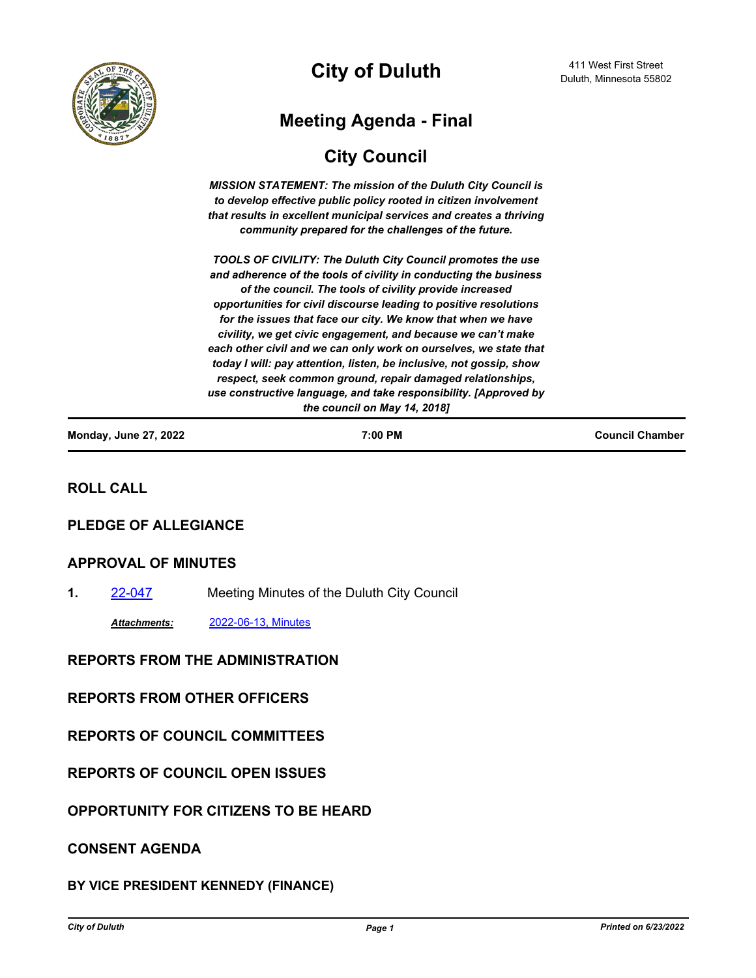

**City of Duluth**

# **Meeting Agenda - Final**

# **City Council**

*MISSION STATEMENT: The mission of the Duluth City Council is to develop effective public policy rooted in citizen involvement that results in excellent municipal services and creates a thriving community prepared for the challenges of the future.*

*TOOLS OF CIVILITY: The Duluth City Council promotes the use and adherence of the tools of civility in conducting the business of the council. The tools of civility provide increased opportunities for civil discourse leading to positive resolutions for the issues that face our city. We know that when we have civility, we get civic engagement, and because we can't make each other civil and we can only work on ourselves, we state that today I will: pay attention, listen, be inclusive, not gossip, show respect, seek common ground, repair damaged relationships, use constructive language, and take responsibility. [Approved by the council on May 14, 2018]*

| <b>Monday, June 27, 2022</b> | 7:00 PM | <b>Council Chamber</b> |
|------------------------------|---------|------------------------|
|                              |         |                        |

## **ROLL CALL**

### **PLEDGE OF ALLEGIANCE**

#### **APPROVAL OF MINUTES**

**1.** [22-047](http://duluth-mn.legistar.com/gateway.aspx?m=l&id=/matter.aspx?key=8329) Meeting Minutes of the Duluth City Council

*Attachments:* [2022-06-13, Minutes](http://duluth-mn.legistar.com/gateway.aspx?M=F&ID=51b58a97-0bdc-4021-9874-c3f52980450e.pdf)

### **REPORTS FROM THE ADMINISTRATION**

#### **REPORTS FROM OTHER OFFICERS**

### **REPORTS OF COUNCIL COMMITTEES**

**REPORTS OF COUNCIL OPEN ISSUES**

**OPPORTUNITY FOR CITIZENS TO BE HEARD**

### **CONSENT AGENDA**

### **BY VICE PRESIDENT KENNEDY (FINANCE)**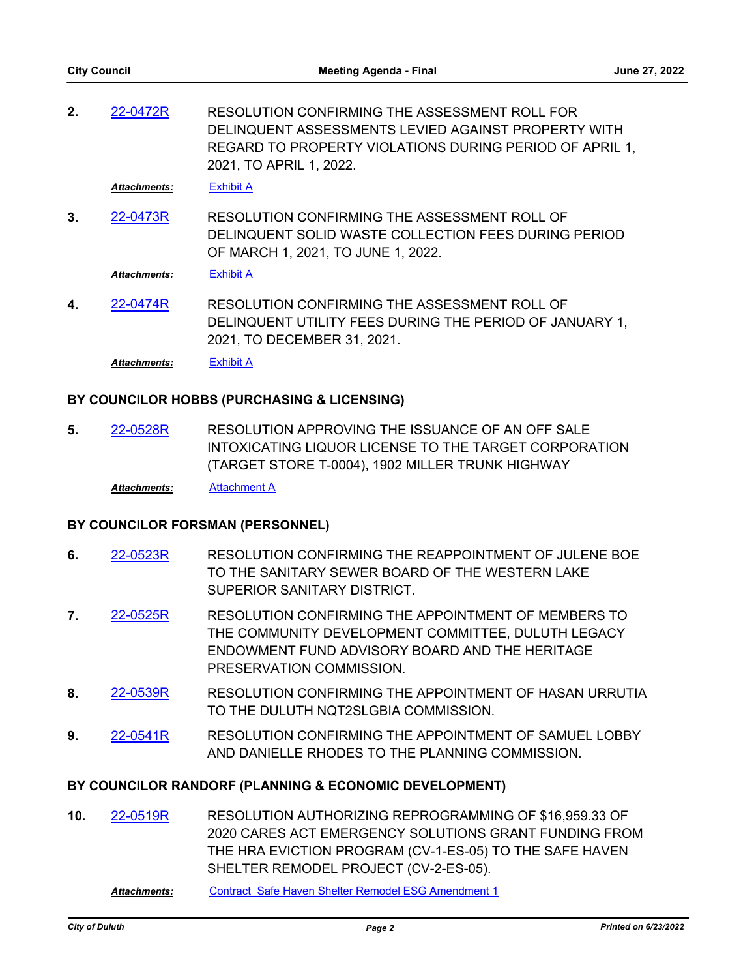RESOLUTION CONFIRMING THE ASSESSMENT ROLL FOR DELINQUENT ASSESSMENTS LEVIED AGAINST PROPERTY WITH REGARD TO PROPERTY VIOLATIONS DURING PERIOD OF APRIL 1, 2021, TO APRIL 1, 2022. **2.** [22-0472R](http://duluth-mn.legistar.com/gateway.aspx?m=l&id=/matter.aspx?key=8258)

*Attachments:* [Exhibit A](http://duluth-mn.legistar.com/gateway.aspx?M=F&ID=2f25b8b6-3512-4e13-83fc-fd93780c02c9.pdf)

RESOLUTION CONFIRMING THE ASSESSMENT ROLL OF DELINQUENT SOLID WASTE COLLECTION FEES DURING PERIOD OF MARCH 1, 2021, TO JUNE 1, 2022. **3.** [22-0473R](http://duluth-mn.legistar.com/gateway.aspx?m=l&id=/matter.aspx?key=8259)

*Attachments:* [Exhibit A](http://duluth-mn.legistar.com/gateway.aspx?M=F&ID=3b984bb6-f391-4e71-83c9-131b2a1dc765.pdf)

RESOLUTION CONFIRMING THE ASSESSMENT ROLL OF DELINQUENT UTILITY FEES DURING THE PERIOD OF JANUARY 1, 2021, TO DECEMBER 31, 2021. **4.** [22-0474R](http://duluth-mn.legistar.com/gateway.aspx?m=l&id=/matter.aspx?key=8260)

*Attachments:* [Exhibit A](http://duluth-mn.legistar.com/gateway.aspx?M=F&ID=e7e6ad84-b16c-4a62-97f7-de1fb130e18b.pdf)

#### **BY COUNCILOR HOBBS (PURCHASING & LICENSING)**

RESOLUTION APPROVING THE ISSUANCE OF AN OFF SALE INTOXICATING LIQUOR LICENSE TO THE TARGET CORPORATION (TARGET STORE T-0004), 1902 MILLER TRUNK HIGHWAY **5.** [22-0528R](http://duluth-mn.legistar.com/gateway.aspx?m=l&id=/matter.aspx?key=8317)

*Attachments:* [Attachment A](http://duluth-mn.legistar.com/gateway.aspx?M=F&ID=46ccb5a7-b614-48e8-beac-3740bc714b11.pdf)

#### **BY COUNCILOR FORSMAN (PERSONNEL)**

- RESOLUTION CONFIRMING THE REAPPOINTMENT OF JULENE BOE TO THE SANITARY SEWER BOARD OF THE WESTERN LAKE SUPERIOR SANITARY DISTRICT. **6.** [22-0523R](http://duluth-mn.legistar.com/gateway.aspx?m=l&id=/matter.aspx?key=8312)
- RESOLUTION CONFIRMING THE APPOINTMENT OF MEMBERS TO THE COMMUNITY DEVELOPMENT COMMITTEE, DULUTH LEGACY ENDOWMENT FUND ADVISORY BOARD AND THE HERITAGE PRESERVATION COMMISSION. **7.** [22-0525R](http://duluth-mn.legistar.com/gateway.aspx?m=l&id=/matter.aspx?key=8314)
- RESOLUTION CONFIRMING THE APPOINTMENT OF HASAN URRUTIA TO THE DULUTH NQT2SLGBIA COMMISSION. **8.** [22-0539R](http://duluth-mn.legistar.com/gateway.aspx?m=l&id=/matter.aspx?key=8328)
- RESOLUTION CONFIRMING THE APPOINTMENT OF SAMUEL LOBBY AND DANIELLE RHODES TO THE PLANNING COMMISSION. **9.** [22-0541R](http://duluth-mn.legistar.com/gateway.aspx?m=l&id=/matter.aspx?key=8330)

#### **BY COUNCILOR RANDORF (PLANNING & ECONOMIC DEVELOPMENT)**

RESOLUTION AUTHORIZING REPROGRAMMING OF \$16,959.33 OF 2020 CARES ACT EMERGENCY SOLUTIONS GRANT FUNDING FROM THE HRA EVICTION PROGRAM (CV-1-ES-05) TO THE SAFE HAVEN SHELTER REMODEL PROJECT (CV-2-ES-05). **10.** [22-0519R](http://duluth-mn.legistar.com/gateway.aspx?m=l&id=/matter.aspx?key=8308)

*Attachments:* [Contract\\_Safe Haven Shelter Remodel ESG Amendment 1](http://duluth-mn.legistar.com/gateway.aspx?M=F&ID=1892dde2-037e-4ecb-850a-e0bb00a87b4e.pdf)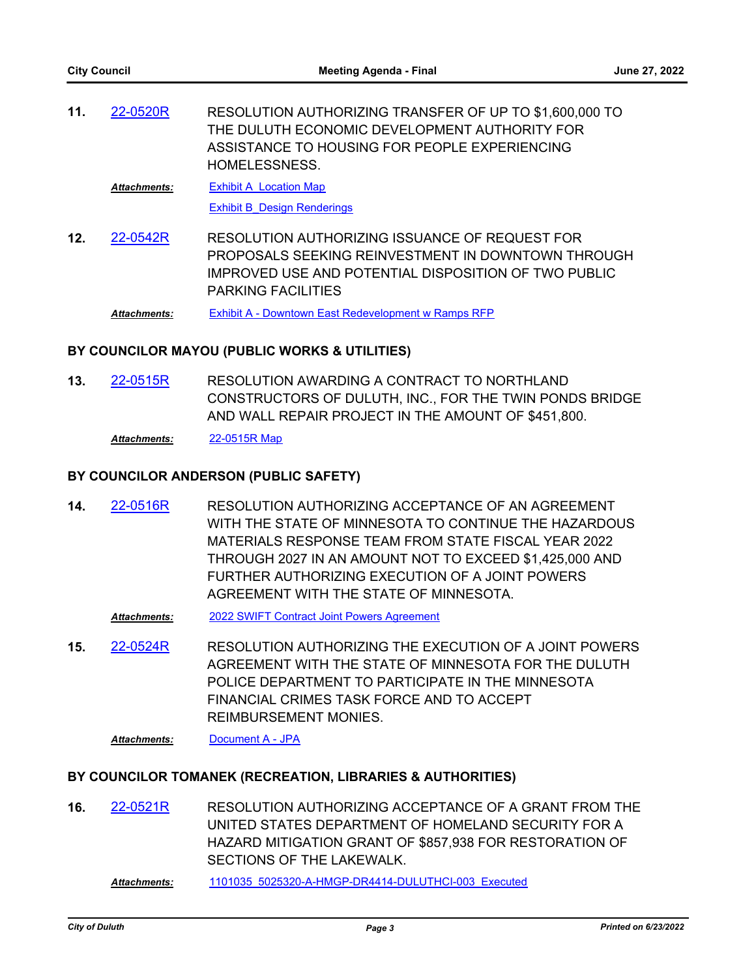RESOLUTION AUTHORIZING TRANSFER OF UP TO \$1,600,000 TO THE DULUTH ECONOMIC DEVELOPMENT AUTHORITY FOR ASSISTANCE TO HOUSING FOR PEOPLE EXPERIENCING HOMELESSNESS. **11.** [22-0520R](http://duluth-mn.legistar.com/gateway.aspx?m=l&id=/matter.aspx?key=8309)

[Exhibit A\\_Location Map](http://duluth-mn.legistar.com/gateway.aspx?M=F&ID=20250783-fa67-433a-bf0e-4888359f6d00.pdf) *Attachments:*

[Exhibit B\\_Design Renderings](http://duluth-mn.legistar.com/gateway.aspx?M=F&ID=bb337afe-a363-400a-975e-c12d3240a788.pdf)

RESOLUTION AUTHORIZING ISSUANCE OF REQUEST FOR PROPOSALS SEEKING REINVESTMENT IN DOWNTOWN THROUGH IMPROVED USE AND POTENTIAL DISPOSITION OF TWO PUBLIC PARKING FACILITIES **12.** [22-0542R](http://duluth-mn.legistar.com/gateway.aspx?m=l&id=/matter.aspx?key=8331)

*Attachments:* [Exhibit A - Downtown East Redevelopment w Ramps RFP](http://duluth-mn.legistar.com/gateway.aspx?M=F&ID=be5a6b1d-60e6-4932-89fe-e450d28de97a.pdf)

#### **BY COUNCILOR MAYOU (PUBLIC WORKS & UTILITIES)**

RESOLUTION AWARDING A CONTRACT TO NORTHLAND CONSTRUCTORS OF DULUTH, INC., FOR THE TWIN PONDS BRIDGE AND WALL REPAIR PROJECT IN THE AMOUNT OF \$451,800. **13.** [22-0515R](http://duluth-mn.legistar.com/gateway.aspx?m=l&id=/matter.aspx?key=8304)

*Attachments:* [22-0515R Map](http://duluth-mn.legistar.com/gateway.aspx?M=F&ID=b8430d55-92e5-493d-a183-0c067b48ae58.pdf)

#### **BY COUNCILOR ANDERSON (PUBLIC SAFETY)**

RESOLUTION AUTHORIZING ACCEPTANCE OF AN AGREEMENT WITH THE STATE OF MINNESOTA TO CONTINUE THE HAZARDOUS MATERIALS RESPONSE TEAM FROM STATE FISCAL YEAR 2022 THROUGH 2027 IN AN AMOUNT NOT TO EXCEED \$1,425,000 AND FURTHER AUTHORIZING EXECUTION OF A JOINT POWERS AGREEMENT WITH THE STATE OF MINNESOTA. **14.** [22-0516R](http://duluth-mn.legistar.com/gateway.aspx?m=l&id=/matter.aspx?key=8305)

*Attachments:* [2022 SWIFT Contract Joint Powers Agreement](http://duluth-mn.legistar.com/gateway.aspx?M=F&ID=4d0ea89d-0ba5-4869-85b4-5358f893a359.pdf)

RESOLUTION AUTHORIZING THE EXECUTION OF A JOINT POWERS AGREEMENT WITH THE STATE OF MINNESOTA FOR THE DULUTH POLICE DEPARTMENT TO PARTICIPATE IN THE MINNESOTA FINANCIAL CRIMES TASK FORCE AND TO ACCEPT REIMBURSEMENT MONIES. **15.** [22-0524R](http://duluth-mn.legistar.com/gateway.aspx?m=l&id=/matter.aspx?key=8313)

*Attachments:* [Document A - JPA](http://duluth-mn.legistar.com/gateway.aspx?M=F&ID=14d777bb-73eb-40de-b3bb-e5812243f9bc.pdf)

### **BY COUNCILOR TOMANEK (RECREATION, LIBRARIES & AUTHORITIES)**

RESOLUTION AUTHORIZING ACCEPTANCE OF A GRANT FROM THE UNITED STATES DEPARTMENT OF HOMELAND SECURITY FOR A HAZARD MITIGATION GRANT OF \$857,938 FOR RESTORATION OF SECTIONS OF THE LAKEWALK. **16.** [22-0521R](http://duluth-mn.legistar.com/gateway.aspx?m=l&id=/matter.aspx?key=8310)

*Attachments:* [1101035\\_5025320-A-HMGP-DR4414-DULUTHCI-003\\_Executed](http://duluth-mn.legistar.com/gateway.aspx?M=F&ID=f4d36eca-1441-4ac7-a021-0bf693b34586.pdf)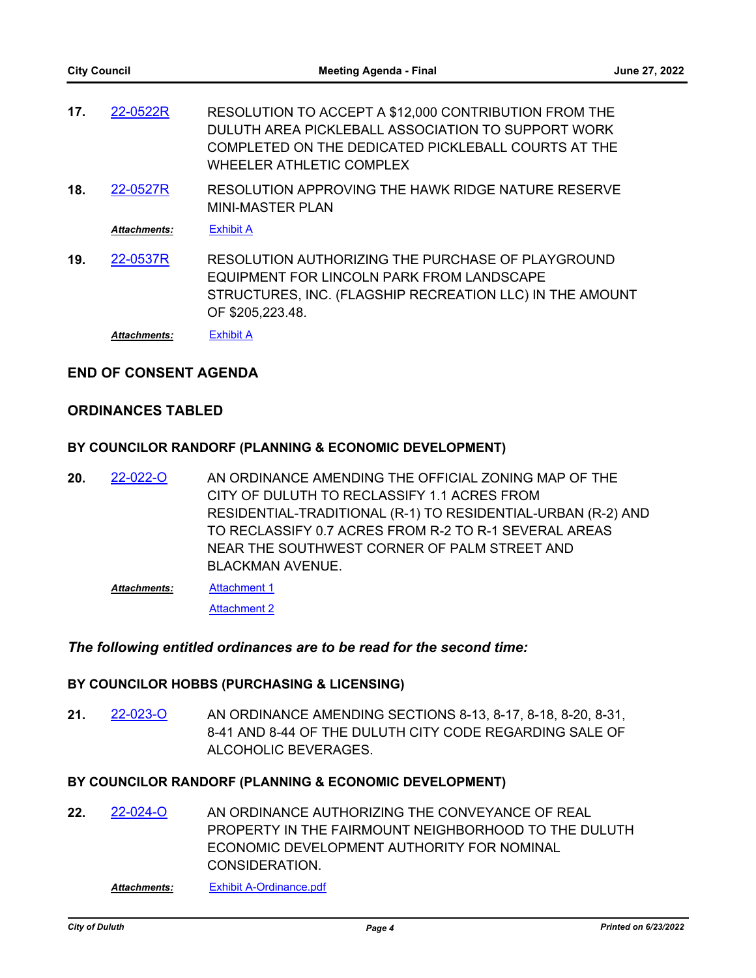- RESOLUTION TO ACCEPT A \$12,000 CONTRIBUTION FROM THE DULUTH AREA PICKLEBALL ASSOCIATION TO SUPPORT WORK COMPLETED ON THE DEDICATED PICKLEBALL COURTS AT THE WHEELER ATHLETIC COMPLEX **17.** [22-0522R](http://duluth-mn.legistar.com/gateway.aspx?m=l&id=/matter.aspx?key=8311)
- RESOLUTION APPROVING THE HAWK RIDGE NATURE RESERVE MINI-MASTER PLAN **18.** [22-0527R](http://duluth-mn.legistar.com/gateway.aspx?m=l&id=/matter.aspx?key=8316)

*Attachments:* [Exhibit A](http://duluth-mn.legistar.com/gateway.aspx?M=F&ID=5bc57a81-b7b4-41fa-90ca-a287f5530cf6.pdf)

RESOLUTION AUTHORIZING THE PURCHASE OF PLAYGROUND EQUIPMENT FOR LINCOLN PARK FROM LANDSCAPE STRUCTURES, INC. (FLAGSHIP RECREATION LLC) IN THE AMOUNT OF \$205,223.48. **19.** [22-0537R](http://duluth-mn.legistar.com/gateway.aspx?m=l&id=/matter.aspx?key=8326)

*Attachments:* [Exhibit A](http://duluth-mn.legistar.com/gateway.aspx?M=F&ID=a45f64f8-d73c-4ba7-95df-33dd676eb672.pdf)

### **END OF CONSENT AGENDA**

#### **ORDINANCES TABLED**

#### **BY COUNCILOR RANDORF (PLANNING & ECONOMIC DEVELOPMENT)**

- AN ORDINANCE AMENDING THE OFFICIAL ZONING MAP OF THE CITY OF DULUTH TO RECLASSIFY 1.1 ACRES FROM RESIDENTIAL-TRADITIONAL (R-1) TO RESIDENTIAL-URBAN (R-2) AND TO RECLASSIFY 0.7 ACRES FROM R-2 TO R-1 SEVERAL AREAS NEAR THE SOUTHWEST CORNER OF PALM STREET AND BLACKMAN AVENUE. **20.** [22-022-O](http://duluth-mn.legistar.com/gateway.aspx?m=l&id=/matter.aspx?key=8208)
	- [Attachment 1](http://duluth-mn.legistar.com/gateway.aspx?M=F&ID=cd8756c4-f6d5-4fea-a481-6e60f4e9d2ea.pdf) [Attachment 2](http://duluth-mn.legistar.com/gateway.aspx?M=F&ID=a81d055d-a61e-4ba6-ace7-67d5d1e48c94.pdf) *Attachments:*

#### *The following entitled ordinances are to be read for the second time:*

#### **BY COUNCILOR HOBBS (PURCHASING & LICENSING)**

AN ORDINANCE AMENDING SECTIONS 8-13, 8-17, 8-18, 8-20, 8-31, 8-41 AND 8-44 OF THE DULUTH CITY CODE REGARDING SALE OF ALCOHOLIC BEVERAGES. **21.** [22-023-O](http://duluth-mn.legistar.com/gateway.aspx?m=l&id=/matter.aspx?key=8239)

#### **BY COUNCILOR RANDORF (PLANNING & ECONOMIC DEVELOPMENT)**

AN ORDINANCE AUTHORIZING THE CONVEYANCE OF REAL PROPERTY IN THE FAIRMOUNT NEIGHBORHOOD TO THE DULUTH ECONOMIC DEVELOPMENT AUTHORITY FOR NOMINAL **CONSIDERATION 22.** [22-024-O](http://duluth-mn.legistar.com/gateway.aspx?m=l&id=/matter.aspx?key=8277)

*Attachments:* [Exhibit A-Ordinance.pdf](http://duluth-mn.legistar.com/gateway.aspx?M=F&ID=b293c181-1f22-48f3-8929-e4cd9ac9c728.pdf)